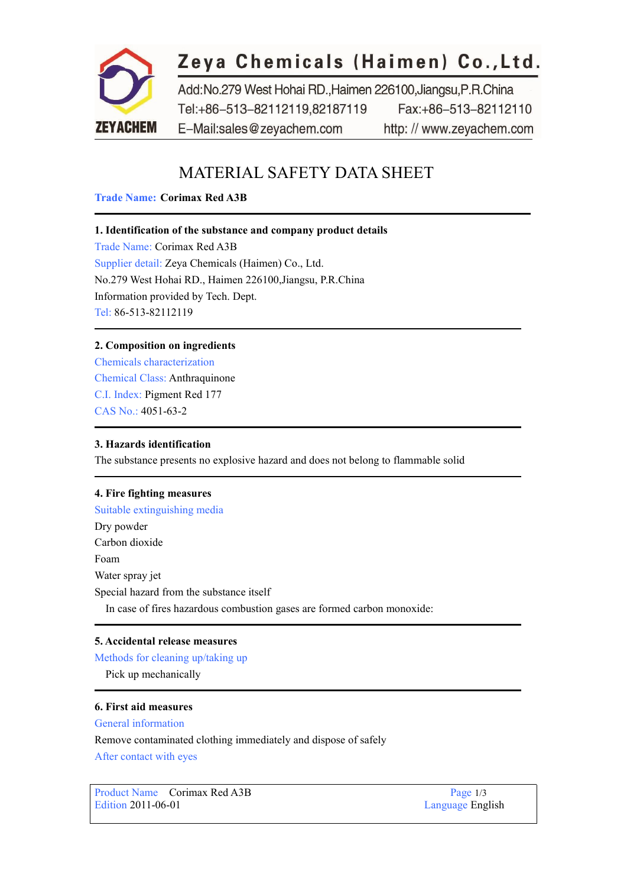

# Zeya Chemicals (Haimen) Co., Ltd.

Add:No.279 West Hohai RD.,Haimen 226100,Jiangsu,P.R.China Tel:+86-513-82112119,82187119 Fax:+86-513-82112110 E-Mail:sales@zeyachem.com http://www.zeyachem.com

## MATERIAL SAFETY DATA SHEET

## **Trade Name: Corimax Red A3B**

## **1. Identification of the substance and company product details**

Trade Name: Corimax Red A3B Supplier detail: Zeya Chemicals (Haimen) Co., Ltd. No.279 West Hohai RD., Haimen 226100,Jiangsu, P.R.China Information provided by Tech. Dept. Tel: 86-513-82112119

## **2. Composition on ingredients**

Chemicals characterization Chemical Class: Anthraquinone C.I. Index: [Pigment](https://www.zeyachem.net/pigment-red-177.html) Red 177 CAS No.: 4051-63-2

## **3. Hazards identification**

The substance presents no explosive hazard and does not belong to flammable solid

## **4. Fire fighting measures**

Suitable extinguishing media Dry powder Carbon dioxide Foam Water spray jet Special hazard from the substance itself In case of fires hazardous combustion gases are formed carbon monoxide:

## **5. Accidental release measures**

Methods for cleaning up/taking up

Pick up mechanically

## **6. First aid measures**

General information

Remove contaminated clothing immediately and dispose of safely

After contact with eyes

Product Name Corimax Red A3B Page 1/3<br>
Edition 2011-06-01 Language Eng

Language English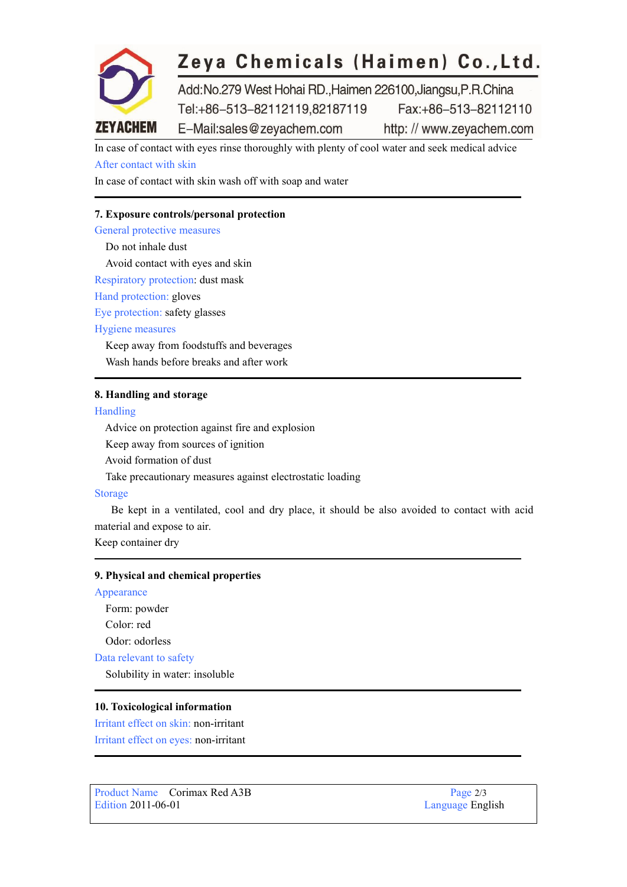

## Zeya Chemicals (Haimen) Co., Ltd.

Add:No.279 West Hohai RD.,Haimen 226100,Jiangsu,P.R.China Tel:+86-513-82112119,82187119 Fax:+86-513-82112110 E-Mail:sales@zeyachem.com http://www.zevachem.com

In case of contact with eyes rinse thoroughly with plenty of cool water and seek medical advice After contact with skin

In case of contact with skin wash off with soap and water

## **7. Exposure controls/personal protection**

General protective measures

Do not inhale dust Avoid contact with eyes and skin Respiratory protection: dust mask Hand protection: gloves Eye protection: safety glasses Hygiene measures Keep away from foodstuffs and beverages Wash hands before breaks and after work

#### **8. Handling and storage**

Handling

Advice on protection against fire and explosion

Keep away from sources of ignition

Avoid formation of dust

Take precautionary measures against electrostatic loading

#### Storage

Be kept in a ventilated, cool and dry place, it should be also avoided to contact with acid material and expose to air.

Keep container dry

#### **9. Physical and chemical properties**

Appearance

Form: powder Color: red Odor: odorless Data relevant to safety

Solubility in water: insoluble

#### **10. Toxicological information**

Irritant effect on skin: non-irritant Irritant effect on eyes: non-irritant

Product Name Corimax Red A3B Page 2/3<br>Edition 2011-06-01 Language Eng

Language English